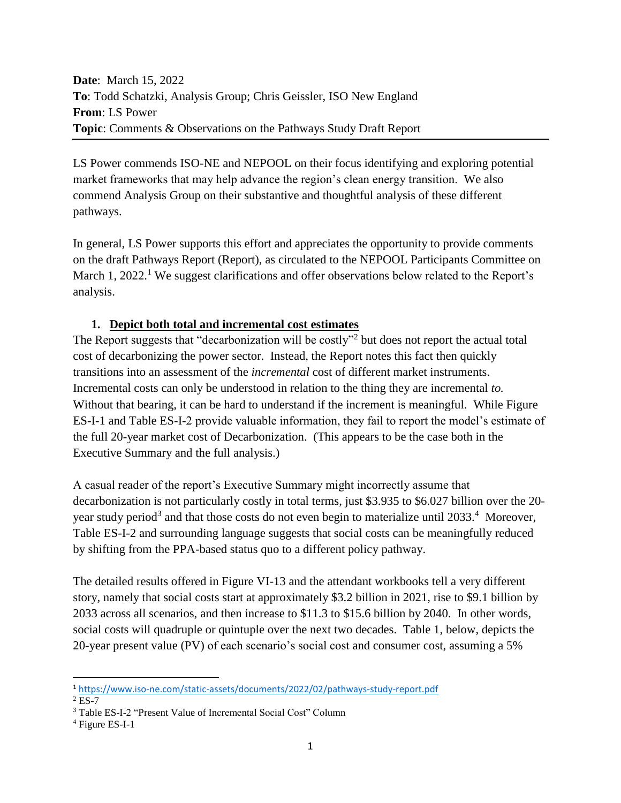**Date**: March 15, 2022 **To**: Todd Schatzki, Analysis Group; Chris Geissler, ISO New England **From**: LS Power **Topic**: Comments & Observations on the Pathways Study Draft Report

LS Power commends ISO-NE and NEPOOL on their focus identifying and exploring potential market frameworks that may help advance the region's clean energy transition. We also commend Analysis Group on their substantive and thoughtful analysis of these different pathways.

In general, LS Power supports this effort and appreciates the opportunity to provide comments on the draft Pathways Report (Report), as circulated to the NEPOOL Participants Committee on March 1, 2022.<sup>1</sup> We suggest clarifications and offer observations below related to the Report's analysis.

### **1. Depict both total and incremental cost estimates**

The Report suggests that "decarbonization will be costly"<sup>2</sup> but does not report the actual total cost of decarbonizing the power sector. Instead, the Report notes this fact then quickly transitions into an assessment of the *incremental* cost of different market instruments. Incremental costs can only be understood in relation to the thing they are incremental *to.*  Without that bearing, it can be hard to understand if the increment is meaningful. While Figure ES-I-1 and Table ES-I-2 provide valuable information, they fail to report the model's estimate of the full 20-year market cost of Decarbonization. (This appears to be the case both in the Executive Summary and the full analysis.)

A casual reader of the report's Executive Summary might incorrectly assume that decarbonization is not particularly costly in total terms, just \$3.935 to \$6.027 billion over the 20 year study period<sup>3</sup> and that those costs do not even begin to materialize until 2033.<sup>4</sup> Moreover, Table ES-I-2 and surrounding language suggests that social costs can be meaningfully reduced by shifting from the PPA-based status quo to a different policy pathway.

The detailed results offered in Figure VI-13 and the attendant workbooks tell a very different story, namely that social costs start at approximately \$3.2 billion in 2021, rise to \$9.1 billion by 2033 across all scenarios, and then increase to \$11.3 to \$15.6 billion by 2040. In other words, social costs will quadruple or quintuple over the next two decades. Table 1, below, depicts the 20-year present value (PV) of each scenario's social cost and consumer cost, assuming a 5%

 $\overline{a}$ 

<sup>1</sup> <https://www.iso-ne.com/static-assets/documents/2022/02/pathways-study-report.pdf>

 $2$  ES-7

<sup>3</sup> Table ES-I-2 "Present Value of Incremental Social Cost" Column

<sup>4</sup> Figure ES-I-1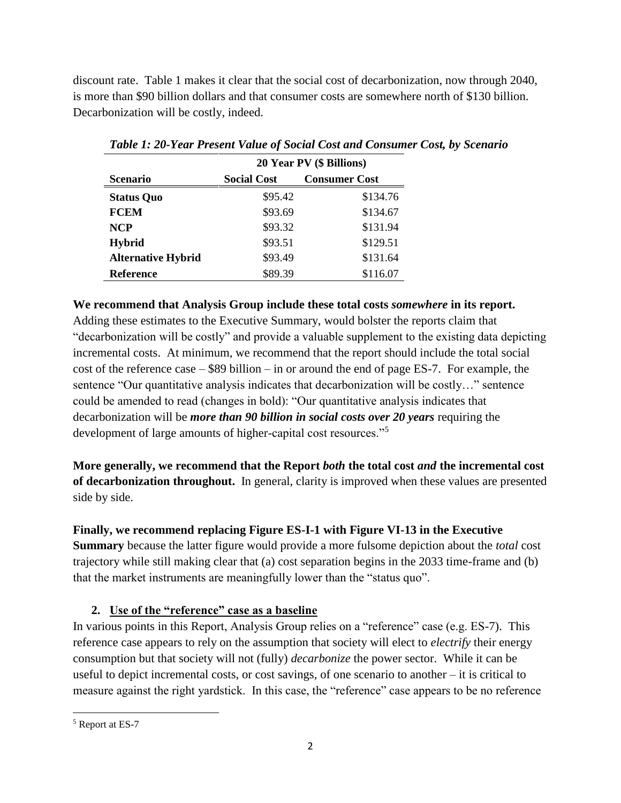discount rate. Table 1 makes it clear that the social cost of decarbonization, now through 2040, is more than \$90 billion dollars and that consumer costs are somewhere north of \$130 billion. Decarbonization will be costly, indeed.

|                           | 20 Year PV (\$ Billions) |                      |
|---------------------------|--------------------------|----------------------|
| <b>Scenario</b>           | <b>Social Cost</b>       | <b>Consumer Cost</b> |
| <b>Status Quo</b>         | \$95.42                  | \$134.76             |
| <b>FCEM</b>               | \$93.69                  | \$134.67             |
| <b>NCP</b>                | \$93.32                  | \$131.94             |
| <b>Hybrid</b>             | \$93.51                  | \$129.51             |
| <b>Alternative Hybrid</b> | \$93.49                  | \$131.64             |
| <b>Reference</b>          | \$89.39                  | \$116.07             |

*Table 1: 20-Year Present Value of Social Cost and Consumer Cost, by Scenario* 

### **We recommend that Analysis Group include these total costs** *somewhere* **in its report.**

Adding these estimates to the Executive Summary, would bolster the reports claim that "decarbonization will be costly" and provide a valuable supplement to the existing data depicting incremental costs. At minimum, we recommend that the report should include the total social cost of the reference case – \$89 billion – in or around the end of page ES-7. For example, the sentence "Our quantitative analysis indicates that decarbonization will be costly…" sentence could be amended to read (changes in bold): "Our quantitative analysis indicates that decarbonization will be *more than 90 billion in social costs over 20 years* requiring the development of large amounts of higher-capital cost resources."<sup>5</sup>

**More generally, we recommend that the Report** *both* **the total cost** *and* **the incremental cost of decarbonization throughout.** In general, clarity is improved when these values are presented side by side.

## **Finally, we recommend replacing Figure ES-I-1 with Figure VI-13 in the Executive**

**Summary** because the latter figure would provide a more fulsome depiction about the *total* cost trajectory while still making clear that (a) cost separation begins in the 2033 time-frame and (b) that the market instruments are meaningfully lower than the "status quo".

## **2. Use of the "reference" case as a baseline**

In various points in this Report, Analysis Group relies on a "reference" case (e.g. ES-7). This reference case appears to rely on the assumption that society will elect to *electrify* their energy consumption but that society will not (fully) *decarbonize* the power sector. While it can be useful to depict incremental costs, or cost savings, of one scenario to another – it is critical to measure against the right yardstick. In this case, the "reference" case appears to be no reference

 $\overline{\phantom{a}}$ <sup>5</sup> Report at ES-7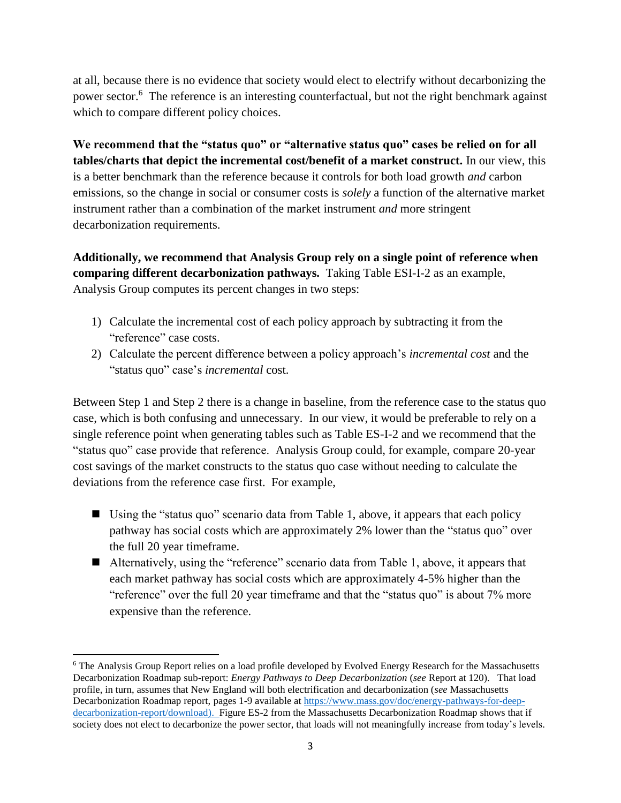at all, because there is no evidence that society would elect to electrify without decarbonizing the power sector.<sup>6</sup> The reference is an interesting counterfactual, but not the right benchmark against which to compare different policy choices.

We recommend that the "status quo" or "alternative status quo" cases be relied on for all **tables/charts that depict the incremental cost/benefit of a market construct.** In our view, this is a better benchmark than the reference because it controls for both load growth *and* carbon emissions, so the change in social or consumer costs is *solely* a function of the alternative market instrument rather than a combination of the market instrument *and* more stringent decarbonization requirements.

**Additionally, we recommend that Analysis Group rely on a single point of reference when comparing different decarbonization pathways.** Taking Table ESI-I-2 as an example, Analysis Group computes its percent changes in two steps:

- 1) Calculate the incremental cost of each policy approach by subtracting it from the "reference" case costs.
- 2) Calculate the percent difference between a policy approach's *incremental cost* and the "status quo" case's *incremental* cost.

Between Step 1 and Step 2 there is a change in baseline, from the reference case to the status quo case, which is both confusing and unnecessary. In our view, it would be preferable to rely on a single reference point when generating tables such as Table ES-I-2 and we recommend that the "status quo" case provide that reference. Analysis Group could, for example, compare 20-year cost savings of the market constructs to the status quo case without needing to calculate the deviations from the reference case first. For example,

- Using the "status quo" scenario data from Table 1, above, it appears that each policy pathway has social costs which are approximately 2% lower than the "status quo" over the full 20 year timeframe.
- Alternatively, using the "reference" scenario data from Table 1, above, it appears that each market pathway has social costs which are approximately 4-5% higher than the "reference" over the full 20 year timeframe and that the "status quo" is about 7% more expensive than the reference.

 $\overline{\phantom{a}}$ 

<sup>&</sup>lt;sup>6</sup> The Analysis Group Report relies on a load profile developed by Evolved Energy Research for the Massachusetts Decarbonization Roadmap sub-report: *Energy Pathways to Deep Decarbonization* (*see* Report at 120).That load profile, in turn, assumes that New England will both electrification and decarbonization (*see* Massachusetts Decarbonization Roadmap report, pages 1-9 available a[t https://www.mass.gov/doc/energy-pathways-for-deep](https://www.mass.gov/doc/energy-pathways-for-deep-decarbonization-report/download)[decarbonization-report/download\)](https://www.mass.gov/doc/energy-pathways-for-deep-decarbonization-report/download). Figure ES-2 from the Massachusetts Decarbonization Roadmap shows that if society does not elect to decarbonize the power sector, that loads will not meaningfully increase from today's levels.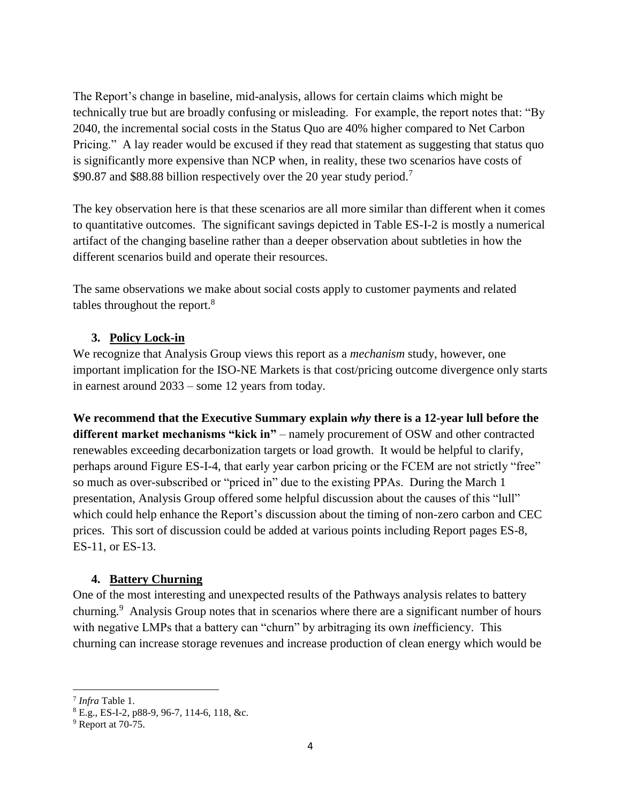The Report's change in baseline, mid-analysis, allows for certain claims which might be technically true but are broadly confusing or misleading. For example, the report notes that: "By 2040, the incremental social costs in the Status Quo are 40% higher compared to Net Carbon Pricing." A lay reader would be excused if they read that statement as suggesting that status quo is significantly more expensive than NCP when, in reality, these two scenarios have costs of \$90.87 and \$88.88 billion respectively over the 20 year study period.<sup>7</sup>

The key observation here is that these scenarios are all more similar than different when it comes to quantitative outcomes. The significant savings depicted in Table ES-I-2 is mostly a numerical artifact of the changing baseline rather than a deeper observation about subtleties in how the different scenarios build and operate their resources.

The same observations we make about social costs apply to customer payments and related tables throughout the report.<sup>8</sup>

### **3. Policy Lock-in**

We recognize that Analysis Group views this report as a *mechanism* study, however, one important implication for the ISO-NE Markets is that cost/pricing outcome divergence only starts in earnest around 2033 – some 12 years from today.

**We recommend that the Executive Summary explain** *why* **there is a 12-year lull before the different market mechanisms "kick in"** – namely procurement of OSW and other contracted renewables exceeding decarbonization targets or load growth. It would be helpful to clarify, perhaps around Figure ES-I-4, that early year carbon pricing or the FCEM are not strictly "free" so much as over-subscribed or "priced in" due to the existing PPAs. During the March 1 presentation, Analysis Group offered some helpful discussion about the causes of this "lull" which could help enhance the Report's discussion about the timing of non-zero carbon and CEC prices. This sort of discussion could be added at various points including Report pages ES-8, ES-11, or ES-13.

#### **4. Battery Churning**

One of the most interesting and unexpected results of the Pathways analysis relates to battery churning.<sup>9</sup> Analysis Group notes that in scenarios where there are a significant number of hours with negative LMPs that a battery can "churn" by arbitraging its own *in*efficiency. This churning can increase storage revenues and increase production of clean energy which would be

 $\overline{\phantom{a}}$ 

<sup>7</sup> *Infra* Table 1.

<sup>8</sup> E.g., ES-I-2, p88-9, 96-7, 114-6, 118, &c.

 $9$  Report at 70-75.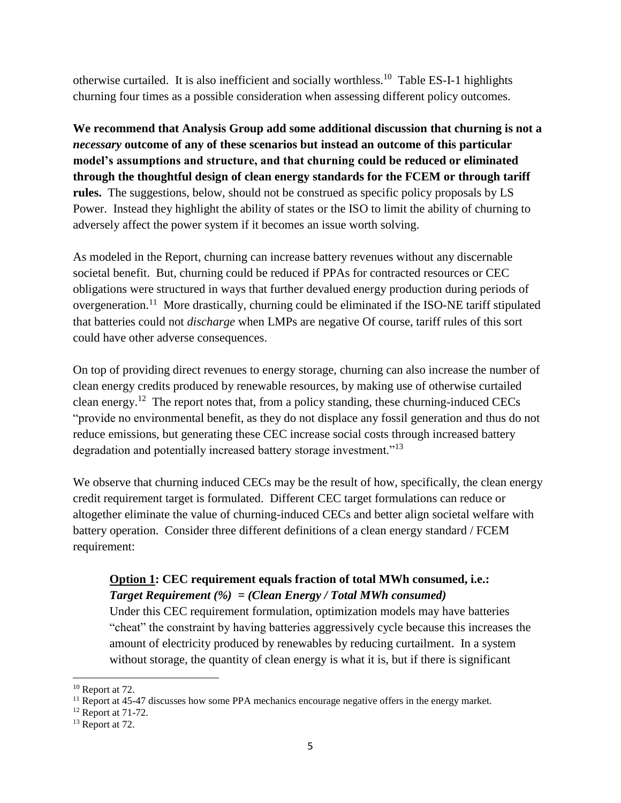otherwise curtailed. It is also inefficient and socially worthless.<sup>10</sup> Table ES-I-1 highlights churning four times as a possible consideration when assessing different policy outcomes.

**We recommend that Analysis Group add some additional discussion that churning is not a**  *necessary* **outcome of any of these scenarios but instead an outcome of this particular model's assumptions and structure, and that churning could be reduced or eliminated through the thoughtful design of clean energy standards for the FCEM or through tariff rules.** The suggestions, below, should not be construed as specific policy proposals by LS Power. Instead they highlight the ability of states or the ISO to limit the ability of churning to adversely affect the power system if it becomes an issue worth solving.

As modeled in the Report, churning can increase battery revenues without any discernable societal benefit. But, churning could be reduced if PPAs for contracted resources or CEC obligations were structured in ways that further devalued energy production during periods of overgeneration.<sup>11</sup> More drastically, churning could be eliminated if the ISO-NE tariff stipulated that batteries could not *discharge* when LMPs are negative Of course, tariff rules of this sort could have other adverse consequences.

On top of providing direct revenues to energy storage, churning can also increase the number of clean energy credits produced by renewable resources, by making use of otherwise curtailed clean energy.<sup>12</sup> The report notes that, from a policy standing, these churning-induced CECs "provide no environmental benefit, as they do not displace any fossil generation and thus do not reduce emissions, but generating these CEC increase social costs through increased battery degradation and potentially increased battery storage investment."<sup>13</sup>

We observe that churning induced CECs may be the result of how, specifically, the clean energy credit requirement target is formulated. Different CEC target formulations can reduce or altogether eliminate the value of churning-induced CECs and better align societal welfare with battery operation. Consider three different definitions of a clean energy standard / FCEM requirement:

# **Option 1: CEC requirement equals fraction of total MWh consumed, i.e.:**  *Target Requirement (%) = (Clean Energy / Total MWh consumed)*

Under this CEC requirement formulation, optimization models may have batteries "cheat" the constraint by having batteries aggressively cycle because this increases the amount of electricity produced by renewables by reducing curtailment. In a system without storage, the quantity of clean energy is what it is, but if there is significant

 $\overline{a}$ 

<sup>&</sup>lt;sup>10</sup> Report at 72.

 $<sup>11</sup>$  Report at 45-47 discusses how some PPA mechanics encourage negative offers in the energy market.</sup>

<sup>&</sup>lt;sup>12</sup> Report at 71-72.

<sup>&</sup>lt;sup>13</sup> Report at 72.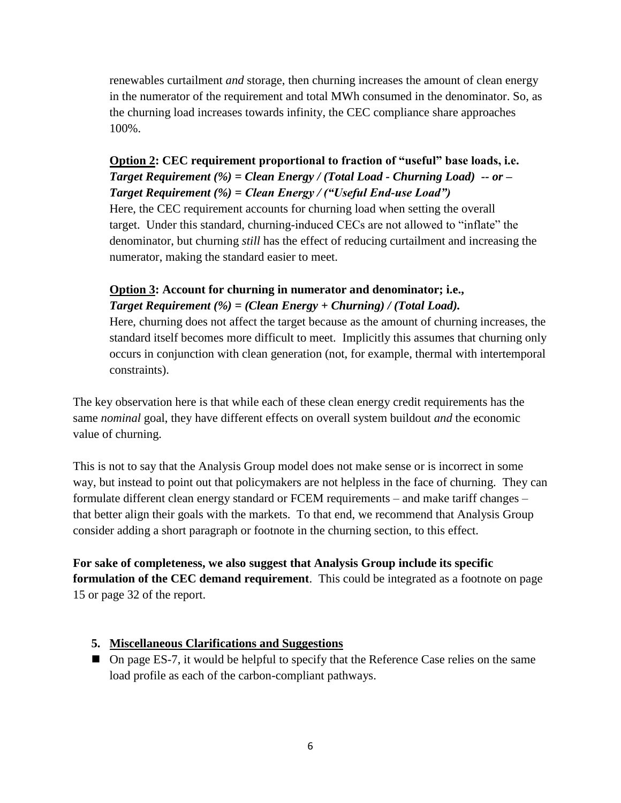renewables curtailment *and* storage, then churning increases the amount of clean energy in the numerator of the requirement and total MWh consumed in the denominator. So, as the churning load increases towards infinity, the CEC compliance share approaches 100%.

# **Option 2: CEC requirement proportional to fraction of "useful" base loads, i.e.**  *Target Requirement (%) = Clean Energy / (Total Load - Churning Load) -- or – Target Requirement (%) = Clean Energy / ("Useful End-use Load")*

Here, the CEC requirement accounts for churning load when setting the overall target. Under this standard, churning-induced CECs are not allowed to "inflate" the denominator, but churning *still* has the effect of reducing curtailment and increasing the numerator, making the standard easier to meet.

# **Option 3: Account for churning in numerator and denominator; i.e.,**  *Target Requirement (%) = (Clean Energy + Churning) / (Total Load).*

Here, churning does not affect the target because as the amount of churning increases, the standard itself becomes more difficult to meet. Implicitly this assumes that churning only occurs in conjunction with clean generation (not, for example, thermal with intertemporal constraints).

The key observation here is that while each of these clean energy credit requirements has the same *nominal* goal, they have different effects on overall system buildout *and* the economic value of churning.

This is not to say that the Analysis Group model does not make sense or is incorrect in some way, but instead to point out that policymakers are not helpless in the face of churning. They can formulate different clean energy standard or FCEM requirements – and make tariff changes – that better align their goals with the markets. To that end, we recommend that Analysis Group consider adding a short paragraph or footnote in the churning section, to this effect.

**For sake of completeness, we also suggest that Analysis Group include its specific formulation of the CEC demand requirement**. This could be integrated as a footnote on page 15 or page 32 of the report.

## **5. Miscellaneous Clarifications and Suggestions**

■ On page ES-7, it would be helpful to specify that the Reference Case relies on the same load profile as each of the carbon-compliant pathways.